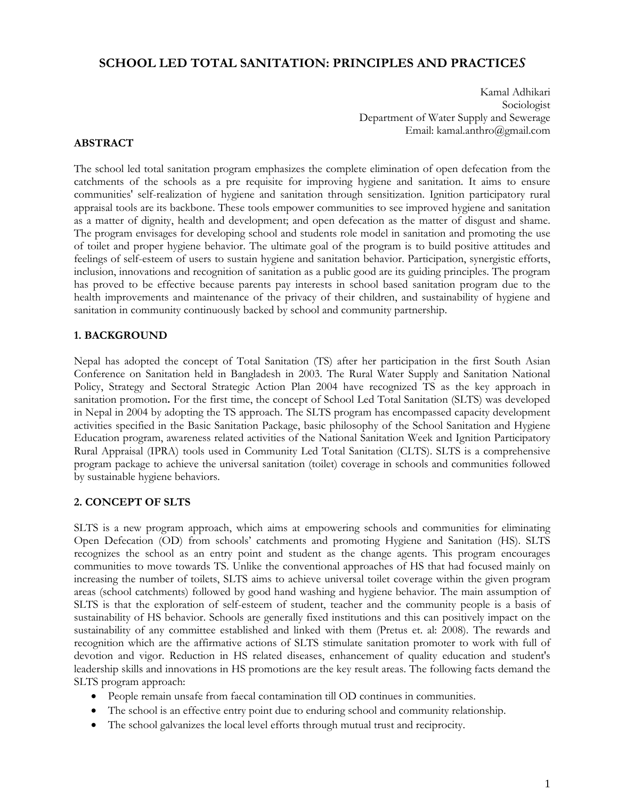# **SCHOOL LED TOTAL SANITATION: PRINCIPLES AND PRACTICE***S*

Kamal Adhikari Sociologist Department of Water Supply and Sewerage Email: kamal.anthro@gmail.com

### **ABSTRACT**

The school led total sanitation program emphasizes the complete elimination of open defecation from the catchments of the schools as a pre requisite for improving hygiene and sanitation. It aims to ensure communities' self-realization of hygiene and sanitation through sensitization. Ignition participatory rural appraisal tools are its backbone. These tools empower communities to see improved hygiene and sanitation as a matter of dignity, health and development; and open defecation as the matter of disgust and shame. The program envisages for developing school and students role model in sanitation and promoting the use of toilet and proper hygiene behavior. The ultimate goal of the program is to build positive attitudes and feelings of self-esteem of users to sustain hygiene and sanitation behavior. Participation, synergistic efforts, inclusion, innovations and recognition of sanitation as a public good are its guiding principles. The program has proved to be effective because parents pay interests in school based sanitation program due to the health improvements and maintenance of the privacy of their children, and sustainability of hygiene and sanitation in community continuously backed by school and community partnership.

### **1. BACKGROUND**

Nepal has adopted the concept of Total Sanitation (TS) after her participation in the first South Asian Conference on Sanitation held in Bangladesh in 2003. The Rural Water Supply and Sanitation National Policy, Strategy and Sectoral Strategic Action Plan 2004 have recognized TS as the key approach in sanitation promotion**.** For the first time, the concept of School Led Total Sanitation (SLTS) was developed in Nepal in 2004 by adopting the TS approach. The SLTS program has encompassed capacity development activities specified in the Basic Sanitation Package, basic philosophy of the School Sanitation and Hygiene Education program, awareness related activities of the National Sanitation Week and Ignition Participatory Rural Appraisal (IPRA) tools used in Community Led Total Sanitation (CLTS). SLTS is a comprehensive program package to achieve the universal sanitation (toilet) coverage in schools and communities followed by sustainable hygiene behaviors.

### **2. CONCEPT OF SLTS**

SLTS is a new program approach, which aims at empowering schools and communities for eliminating Open Defecation (OD) from schools' catchments and promoting Hygiene and Sanitation (HS). SLTS recognizes the school as an entry point and student as the change agents. This program encourages communities to move towards TS. Unlike the conventional approaches of HS that had focused mainly on increasing the number of toilets, SLTS aims to achieve universal toilet coverage within the given program areas (school catchments) followed by good hand washing and hygiene behavior. The main assumption of SLTS is that the exploration of self-esteem of student, teacher and the community people is a basis of sustainability of HS behavior. Schools are generally fixed institutions and this can positively impact on the sustainability of any committee established and linked with them (Pretus et. al: 2008). The rewards and recognition which are the affirmative actions of SLTS stimulate sanitation promoter to work with full of devotion and vigor. Reduction in HS related diseases, enhancement of quality education and student's leadership skills and innovations in HS promotions are the key result areas. The following facts demand the SLTS program approach:

- People remain unsafe from faecal contamination till OD continues in communities.
- The school is an effective entry point due to enduring school and community relationship.
- The school galvanizes the local level efforts through mutual trust and reciprocity.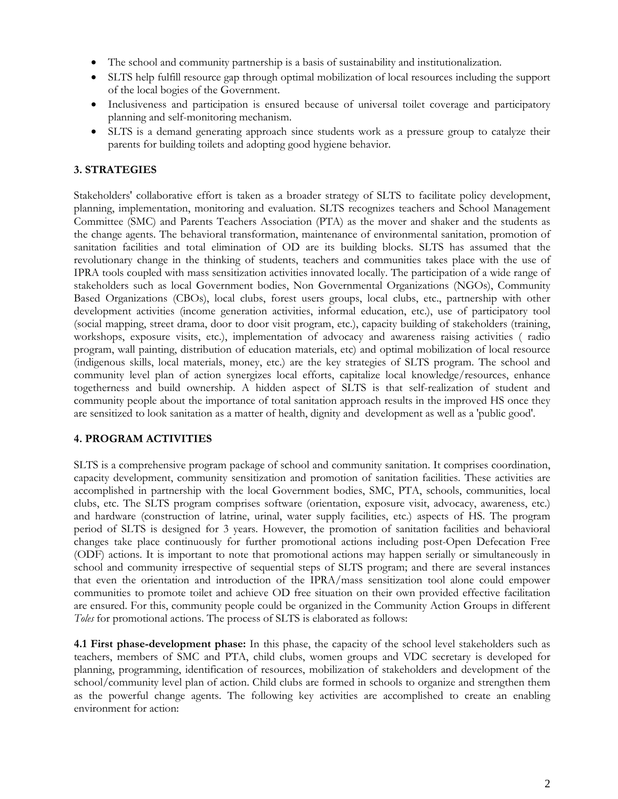- The school and community partnership is a basis of sustainability and institutionalization.
- SLTS help fulfill resource gap through optimal mobilization of local resources including the support of the local bogies of the Government.
- Inclusiveness and participation is ensured because of universal toilet coverage and participatory planning and self-monitoring mechanism.
- SLTS is a demand generating approach since students work as a pressure group to catalyze their parents for building toilets and adopting good hygiene behavior.

# **3. STRATEGIES**

Stakeholders' collaborative effort is taken as a broader strategy of SLTS to facilitate policy development, planning, implementation, monitoring and evaluation. SLTS recognizes teachers and School Management Committee (SMC) and Parents Teachers Association (PTA) as the mover and shaker and the students as the change agents. The behavioral transformation, maintenance of environmental sanitation, promotion of sanitation facilities and total elimination of OD are its building blocks. SLTS has assumed that the revolutionary change in the thinking of students, teachers and communities takes place with the use of IPRA tools coupled with mass sensitization activities innovated locally. The participation of a wide range of stakeholders such as local Government bodies, Non Governmental Organizations (NGOs), Community Based Organizations (CBOs), local clubs, forest users groups, local clubs, etc., partnership with other development activities (income generation activities, informal education, etc.), use of participatory tool (social mapping, street drama, door to door visit program, etc.), capacity building of stakeholders (training, workshops, exposure visits, etc.), implementation of advocacy and awareness raising activities ( radio program, wall painting, distribution of education materials, etc) and optimal mobilization of local resource (indigenous skills, local materials, money, etc.) are the key strategies of SLTS program. The school and community level plan of action synergizes local efforts, capitalize local knowledge/resources, enhance togetherness and build ownership. A hidden aspect of SLTS is that self-realization of student and community people about the importance of total sanitation approach results in the improved HS once they are sensitized to look sanitation as a matter of health, dignity and development as well as a 'public good'.

# **4. PROGRAM ACTIVITIES**

SLTS is a comprehensive program package of school and community sanitation. It comprises coordination, capacity development, community sensitization and promotion of sanitation facilities. These activities are accomplished in partnership with the local Government bodies, SMC, PTA, schools, communities, local clubs, etc. The SLTS program comprises software (orientation, exposure visit, advocacy, awareness, etc.) and hardware (construction of latrine, urinal, water supply facilities, etc.) aspects of HS. The program period of SLTS is designed for 3 years. However, the promotion of sanitation facilities and behavioral changes take place continuously for further promotional actions including post-Open Defecation Free (ODF) actions. It is important to note that promotional actions may happen serially or simultaneously in school and community irrespective of sequential steps of SLTS program; and there are several instances that even the orientation and introduction of the IPRA/mass sensitization tool alone could empower communities to promote toilet and achieve OD free situation on their own provided effective facilitation are ensured. For this, community people could be organized in the Community Action Groups in different *Toles* for promotional actions. The process of SLTS is elaborated as follows:

**4.1 First phase-development phase:** In this phase, the capacity of the school level stakeholders such as teachers, members of SMC and PTA, child clubs, women groups and VDC secretary is developed for planning, programming, identification of resources, mobilization of stakeholders and development of the school/community level plan of action. Child clubs are formed in schools to organize and strengthen them as the powerful change agents. The following key activities are accomplished to create an enabling environment for action: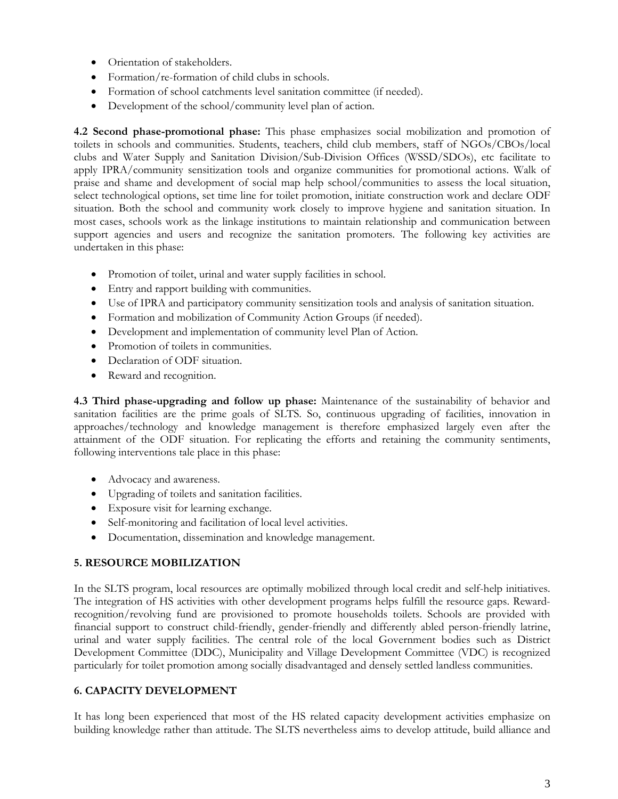- Orientation of stakeholders.
- Formation/re-formation of child clubs in schools.
- Formation of school catchments level sanitation committee (if needed).
- Development of the school/community level plan of action.

**4.2 Second phase-promotional phase:** This phase emphasizes social mobilization and promotion of toilets in schools and communities. Students, teachers, child club members, staff of NGOs/CBOs/local clubs and Water Supply and Sanitation Division/Sub-Division Offices (WSSD/SDOs), etc facilitate to apply IPRA/community sensitization tools and organize communities for promotional actions. Walk of praise and shame and development of social map help school/communities to assess the local situation, select technological options, set time line for toilet promotion, initiate construction work and declare ODF situation. Both the school and community work closely to improve hygiene and sanitation situation. In most cases, schools work as the linkage institutions to maintain relationship and communication between support agencies and users and recognize the sanitation promoters. The following key activities are undertaken in this phase:

- Promotion of toilet, urinal and water supply facilities in school.
- Entry and rapport building with communities.
- Use of IPRA and participatory community sensitization tools and analysis of sanitation situation.
- Formation and mobilization of Community Action Groups (if needed).
- Development and implementation of community level Plan of Action.
- Promotion of toilets in communities.
- Declaration of ODF situation.
- Reward and recognition.

**4.3 Third phase-upgrading and follow up phase:** Maintenance of the sustainability of behavior and sanitation facilities are the prime goals of SLTS. So, continuous upgrading of facilities, innovation in approaches/technology and knowledge management is therefore emphasized largely even after the attainment of the ODF situation. For replicating the efforts and retaining the community sentiments, following interventions tale place in this phase:

- Advocacy and awareness.
- Upgrading of toilets and sanitation facilities.
- Exposure visit for learning exchange.
- Self-monitoring and facilitation of local level activities.
- Documentation, dissemination and knowledge management.

# **5. RESOURCE MOBILIZATION**

In the SLTS program, local resources are optimally mobilized through local credit and self-help initiatives. The integration of HS activities with other development programs helps fulfill the resource gaps. Rewardrecognition/revolving fund are provisioned to promote households toilets. Schools are provided with financial support to construct child-friendly, gender-friendly and differently abled person-friendly latrine, urinal and water supply facilities. The central role of the local Government bodies such as District Development Committee (DDC), Municipality and Village Development Committee (VDC) is recognized particularly for toilet promotion among socially disadvantaged and densely settled landless communities.

# **6. CAPACITY DEVELOPMENT**

It has long been experienced that most of the HS related capacity development activities emphasize on building knowledge rather than attitude. The SLTS nevertheless aims to develop attitude, build alliance and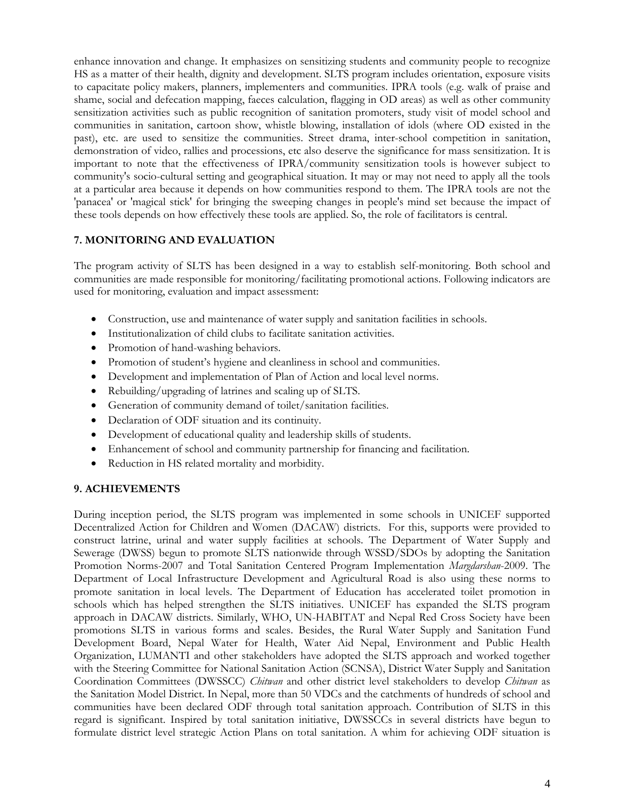enhance innovation and change. It emphasizes on sensitizing students and community people to recognize HS as a matter of their health, dignity and development. SLTS program includes orientation, exposure visits to capacitate policy makers, planners, implementers and communities. IPRA tools (e.g. walk of praise and shame, social and defecation mapping, faeces calculation, flagging in OD areas) as well as other community sensitization activities such as public recognition of sanitation promoters, study visit of model school and communities in sanitation, cartoon show, whistle blowing, installation of idols (where OD existed in the past), etc. are used to sensitize the communities. Street drama, inter-school competition in sanitation, demonstration of video, rallies and processions, etc also deserve the significance for mass sensitization. It is important to note that the effectiveness of IPRA/community sensitization tools is however subject to community's socio-cultural setting and geographical situation. It may or may not need to apply all the tools at a particular area because it depends on how communities respond to them. The IPRA tools are not the 'panacea' or 'magical stick' for bringing the sweeping changes in people's mind set because the impact of these tools depends on how effectively these tools are applied. So, the role of facilitators is central.

## **7. MONITORING AND EVALUATION**

The program activity of SLTS has been designed in a way to establish self-monitoring. Both school and communities are made responsible for monitoring/facilitating promotional actions. Following indicators are used for monitoring, evaluation and impact assessment:

- Construction, use and maintenance of water supply and sanitation facilities in schools.
- Institutionalization of child clubs to facilitate sanitation activities.
- Promotion of hand-washing behaviors.
- Promotion of student's hygiene and cleanliness in school and communities.
- Development and implementation of Plan of Action and local level norms.
- Rebuilding/upgrading of latrines and scaling up of SLTS.
- Generation of community demand of toilet/sanitation facilities.
- Declaration of ODF situation and its continuity.
- Development of educational quality and leadership skills of students.
- Enhancement of school and community partnership for financing and facilitation.
- Reduction in HS related mortality and morbidity.

# **9. ACHIEVEMENTS**

During inception period, the SLTS program was implemented in some schools in UNICEF supported Decentralized Action for Children and Women (DACAW) districts. For this, supports were provided to construct latrine, urinal and water supply facilities at schools. The Department of Water Supply and Sewerage (DWSS) begun to promote SLTS nationwide through WSSD/SDOs by adopting the Sanitation Promotion Norms-2007 and Total Sanitation Centered Program Implementation *Margdarshan*-2009. The Department of Local Infrastructure Development and Agricultural Road is also using these norms to promote sanitation in local levels. The Department of Education has accelerated toilet promotion in schools which has helped strengthen the SLTS initiatives. UNICEF has expanded the SLTS program approach in DACAW districts. Similarly, WHO, UN-HABITAT and Nepal Red Cross Society have been promotions SLTS in various forms and scales. Besides, the Rural Water Supply and Sanitation Fund Development Board, Nepal Water for Health, Water Aid Nepal, Environment and Public Health Organization, LUMANTI and other stakeholders have adopted the SLTS approach and worked together with the Steering Committee for National Sanitation Action (SCNSA), District Water Supply and Sanitation Coordination Committees (DWSSCC) *Chitwan* and other district level stakeholders to develop *Chitwan* as the Sanitation Model District. In Nepal, more than 50 VDCs and the catchments of hundreds of school and communities have been declared ODF through total sanitation approach. Contribution of SLTS in this regard is significant. Inspired by total sanitation initiative, DWSSCCs in several districts have begun to formulate district level strategic Action Plans on total sanitation. A whim for achieving ODF situation is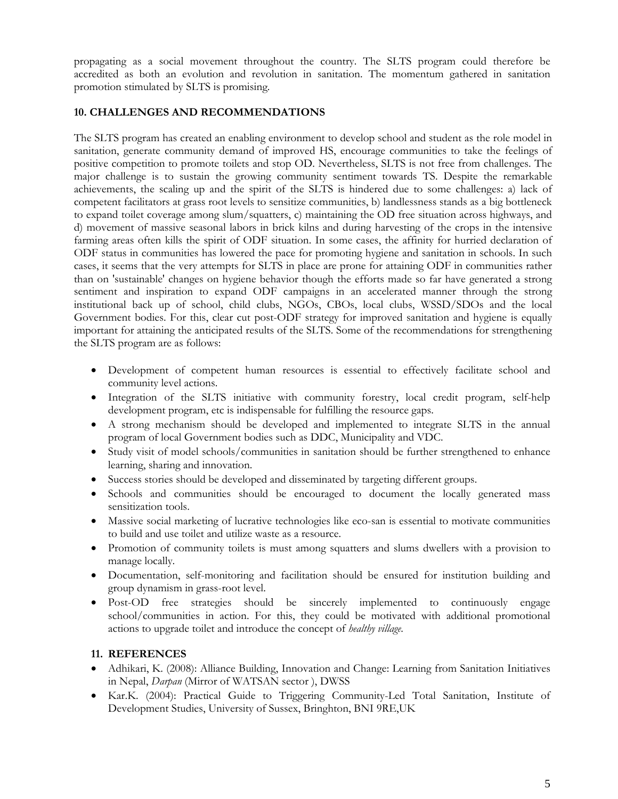propagating as a social movement throughout the country. The SLTS program could therefore be accredited as both an evolution and revolution in sanitation. The momentum gathered in sanitation promotion stimulated by SLTS is promising.

## **10. CHALLENGES AND RECOMMENDATIONS**

The SLTS program has created an enabling environment to develop school and student as the role model in sanitation, generate community demand of improved HS, encourage communities to take the feelings of positive competition to promote toilets and stop OD. Nevertheless, SLTS is not free from challenges. The major challenge is to sustain the growing community sentiment towards TS. Despite the remarkable achievements, the scaling up and the spirit of the SLTS is hindered due to some challenges: a) lack of competent facilitators at grass root levels to sensitize communities, b) landlessness stands as a big bottleneck to expand toilet coverage among slum/squatters, c) maintaining the OD free situation across highways, and d) movement of massive seasonal labors in brick kilns and during harvesting of the crops in the intensive farming areas often kills the spirit of ODF situation. In some cases, the affinity for hurried declaration of ODF status in communities has lowered the pace for promoting hygiene and sanitation in schools. In such cases, it seems that the very attempts for SLTS in place are prone for attaining ODF in communities rather than on 'sustainable' changes on hygiene behavior though the efforts made so far have generated a strong sentiment and inspiration to expand ODF campaigns in an accelerated manner through the strong institutional back up of school, child clubs, NGOs, CBOs, local clubs, WSSD/SDOs and the local Government bodies. For this, clear cut post-ODF strategy for improved sanitation and hygiene is equally important for attaining the anticipated results of the SLTS. Some of the recommendations for strengthening the SLTS program are as follows:

- Development of competent human resources is essential to effectively facilitate school and community level actions.
- Integration of the SLTS initiative with community forestry, local credit program, self-help development program, etc is indispensable for fulfilling the resource gaps.
- A strong mechanism should be developed and implemented to integrate SLTS in the annual program of local Government bodies such as DDC, Municipality and VDC.
- Study visit of model schools/communities in sanitation should be further strengthened to enhance learning, sharing and innovation.
- Success stories should be developed and disseminated by targeting different groups.
- Schools and communities should be encouraged to document the locally generated mass sensitization tools.
- Massive social marketing of lucrative technologies like eco-san is essential to motivate communities to build and use toilet and utilize waste as a resource.
- Promotion of community toilets is must among squatters and slums dwellers with a provision to manage locally.
- Documentation, self-monitoring and facilitation should be ensured for institution building and group dynamism in grass-root level.
- Post-OD free strategies should be sincerely implemented to continuously engage school/communities in action. For this, they could be motivated with additional promotional actions to upgrade toilet and introduce the concept of *healthy village*.

### **11. REFERENCES**

- Adhikari, K. (2008): Alliance Building, Innovation and Change: Learning from Sanitation Initiatives in Nepal, *Darpan* (Mirror of WATSAN sector ), DWSS
- Kar.K. (2004): Practical Guide to Triggering Community-Led Total Sanitation, Institute of Development Studies, University of Sussex, Bringhton, BNI 9RE,UK